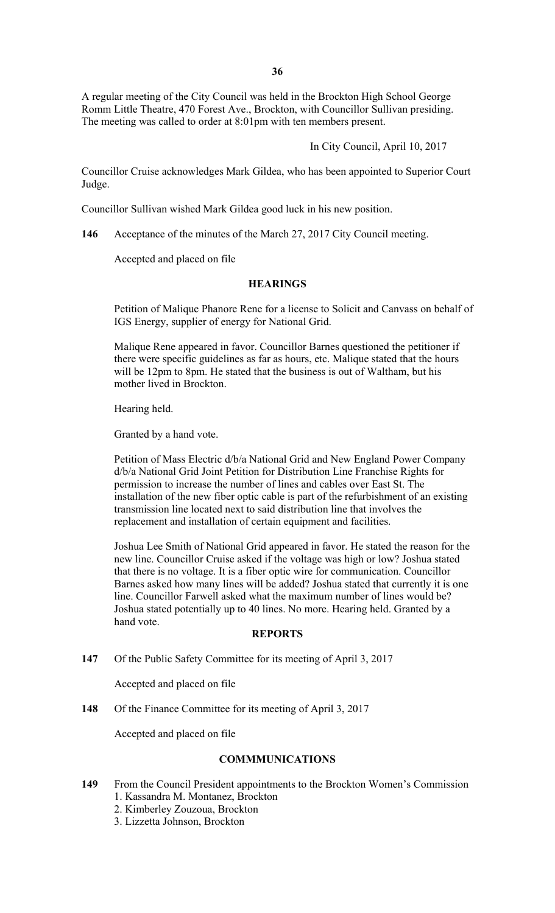A regular meeting of the City Council was held in the Brockton High School George Romm Little Theatre, 470 Forest Ave., Brockton, with Councillor Sullivan presiding. The meeting was called to order at 8:01pm with ten members present.

In City Council, April 10, 2017

Councillor Cruise acknowledges Mark Gildea, who has been appointed to Superior Court Judge.

Councillor Sullivan wished Mark Gildea good luck in his new position.

**146** Acceptance of the minutes of the March 27, 2017 City Council meeting.

Accepted and placed on file

### **HEARINGS**

Petition of Malique Phanore Rene for a license to Solicit and Canvass on behalf of IGS Energy, supplier of energy for National Grid.

Malique Rene appeared in favor. Councillor Barnes questioned the petitioner if there were specific guidelines as far as hours, etc. Malique stated that the hours will be 12pm to 8pm. He stated that the business is out of Waltham, but his mother lived in Brockton.

Hearing held.

Granted by a hand vote.

Petition of Mass Electric d/b/a National Grid and New England Power Company d/b/a National Grid Joint Petition for Distribution Line Franchise Rights for permission to increase the number of lines and cables over East St. The installation of the new fiber optic cable is part of the refurbishment of an existing transmission line located next to said distribution line that involves the replacement and installation of certain equipment and facilities.

Joshua Lee Smith of National Grid appeared in favor. He stated the reason for the new line. Councillor Cruise asked if the voltage was high or low? Joshua stated that there is no voltage. It is a fiber optic wire for communication. Councillor Barnes asked how many lines will be added? Joshua stated that currently it is one line. Councillor Farwell asked what the maximum number of lines would be? Joshua stated potentially up to 40 lines. No more. Hearing held. Granted by a hand vote.

## **REPORTS**

**147** Of the Public Safety Committee for its meeting of April 3, 2017

Accepted and placed on file

**148** Of the Finance Committee for its meeting of April 3, 2017

Accepted and placed on file

## **COMMMUNICATIONS**

- **149** From the Council President appointments to the Brockton Women's Commission 1. Kassandra M. Montanez, Brockton
	- 2. Kimberley Zouzoua, Brockton
	- 3. Lizzetta Johnson, Brockton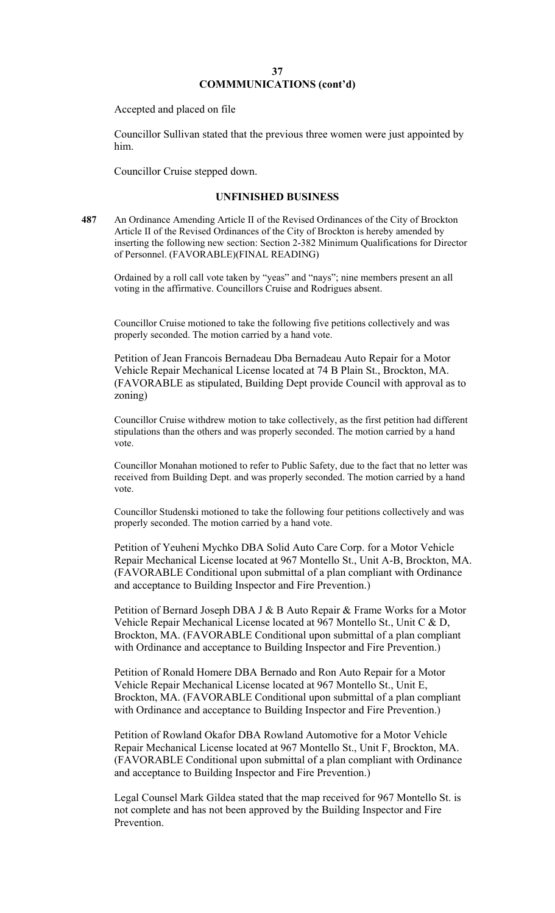Accepted and placed on file

Councillor Sullivan stated that the previous three women were just appointed by him.

Councillor Cruise stepped down.

### **UNFINISHED BUSINESS**

**487** An Ordinance Amending Article II of the Revised Ordinances of the City of Brockton Article II of the Revised Ordinances of the City of Brockton is hereby amended by inserting the following new section: Section 2-382 Minimum Qualifications for Director of Personnel. (FAVORABLE)(FINAL READING)

Ordained by a roll call vote taken by "yeas" and "nays"; nine members present an all voting in the affirmative. Councillors Cruise and Rodrigues absent.

Councillor Cruise motioned to take the following five petitions collectively and was properly seconded. The motion carried by a hand vote.

Petition of Jean Francois Bernadeau Dba Bernadeau Auto Repair for a Motor Vehicle Repair Mechanical License located at 74 B Plain St., Brockton, MA. (FAVORABLE as stipulated, Building Dept provide Council with approval as to zoning)

Councillor Cruise withdrew motion to take collectively, as the first petition had different stipulations than the others and was properly seconded. The motion carried by a hand vote.

Councillor Monahan motioned to refer to Public Safety, due to the fact that no letter was received from Building Dept. and was properly seconded. The motion carried by a hand vote.

Councillor Studenski motioned to take the following four petitions collectively and was properly seconded. The motion carried by a hand vote.

Petition of Yeuheni Mychko DBA Solid Auto Care Corp. for a Motor Vehicle Repair Mechanical License located at 967 Montello St., Unit A-B, Brockton, MA. (FAVORABLE Conditional upon submittal of a plan compliant with Ordinance and acceptance to Building Inspector and Fire Prevention.)

Petition of Bernard Joseph DBA J & B Auto Repair & Frame Works for a Motor Vehicle Repair Mechanical License located at 967 Montello St., Unit C & D, Brockton, MA. (FAVORABLE Conditional upon submittal of a plan compliant with Ordinance and acceptance to Building Inspector and Fire Prevention.)

Petition of Ronald Homere DBA Bernado and Ron Auto Repair for a Motor Vehicle Repair Mechanical License located at 967 Montello St., Unit E, Brockton, MA. (FAVORABLE Conditional upon submittal of a plan compliant with Ordinance and acceptance to Building Inspector and Fire Prevention.)

Petition of Rowland Okafor DBA Rowland Automotive for a Motor Vehicle Repair Mechanical License located at 967 Montello St., Unit F, Brockton, MA. (FAVORABLE Conditional upon submittal of a plan compliant with Ordinance and acceptance to Building Inspector and Fire Prevention.)

Legal Counsel Mark Gildea stated that the map received for 967 Montello St. is not complete and has not been approved by the Building Inspector and Fire Prevention.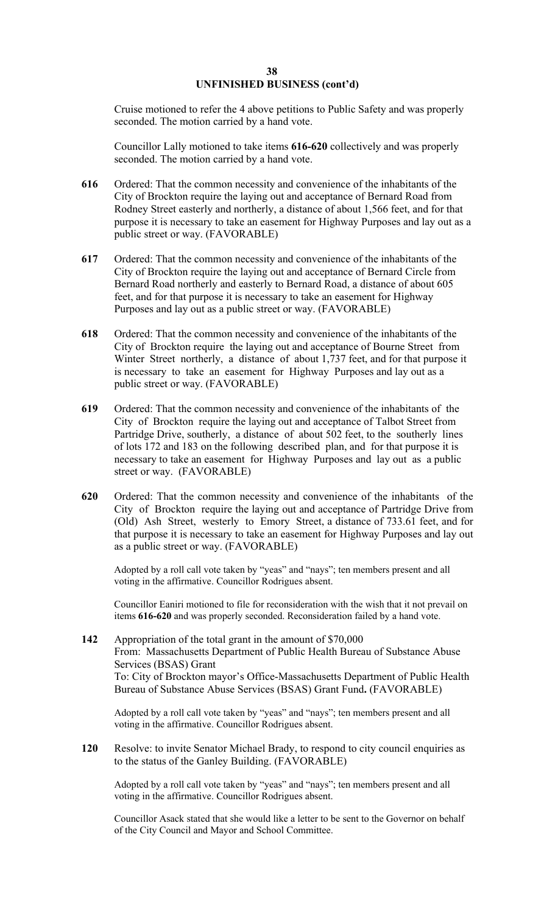# **UNFINISHED BUSINESS (cont'd)**

Cruise motioned to refer the 4 above petitions to Public Safety and was properly seconded. The motion carried by a hand vote.

Councillor Lally motioned to take items **616-620** collectively and was properly seconded. The motion carried by a hand vote.

- **616** Ordered: That the common necessity and convenience of the inhabitants of the City of Brockton require the laying out and acceptance of Bernard Road from Rodney Street easterly and northerly, a distance of about 1,566 feet, and for that purpose it is necessary to take an easement for Highway Purposes and lay out as a public street or way. (FAVORABLE)
- **617** Ordered: That the common necessity and convenience of the inhabitants of the City of Brockton require the laying out and acceptance of Bernard Circle from Bernard Road northerly and easterly to Bernard Road, a distance of about 605 feet, and for that purpose it is necessary to take an easement for Highway Purposes and lay out as a public street or way. (FAVORABLE)
- City of Brockton require the laying out and acceptance of Bourne Street from **618** Ordered: That the common necessity and convenience of the inhabitants of the Winter Street northerly, a distance of about 1,737 feet, and for that purpose it is necessary to take an easement for Highway Purposes and lay out as a public street or way. (FAVORABLE)
- **619** Ordered: That the common necessity and convenience of the inhabitants of the City of Brockton require the laying out and acceptance of Talbot Street from Partridge Drive, southerly, a distance of about 502 feet, to the southerly lines of lots 172 and 183 on the following described plan, and for that purpose it is necessary to take an easement for Highway Purposes and lay out as a public street or way. (FAVORABLE)
- City of Brockton require the laying out and acceptance of Partridge Drive from **620** Ordered: That the common necessity and convenience of the inhabitants of the (Old) Ash Street, westerly to Emory Street, a distance of 733.61 feet, and for that purpose it is necessary to take an easement for Highway Purposes and lay out as a public street or way. (FAVORABLE)

Adopted by a roll call vote taken by "yeas" and "nays"; ten members present and all voting in the affirmative. Councillor Rodrigues absent.

Councillor Eaniri motioned to file for reconsideration with the wish that it not prevail on items **616-620** and was properly seconded. Reconsideration failed by a hand vote.

**142** Appropriation of the total grant in the amount of \$70,000 From: Massachusetts Department of Public Health Bureau of Substance Abuse Services (BSAS) Grant To: City of Brockton mayor's Office-Massachusetts Department of Public Health Bureau of Substance Abuse Services (BSAS) Grant Fund**.** (FAVORABLE)

Adopted by a roll call vote taken by "yeas" and "nays"; ten members present and all voting in the affirmative. Councillor Rodrigues absent.

**120** Resolve: to invite Senator Michael Brady, to respond to city council enquiries as to the status of the Ganley Building. (FAVORABLE)

Adopted by a roll call vote taken by "yeas" and "nays"; ten members present and all voting in the affirmative. Councillor Rodrigues absent.

Councillor Asack stated that she would like a letter to be sent to the Governor on behalf of the City Council and Mayor and School Committee.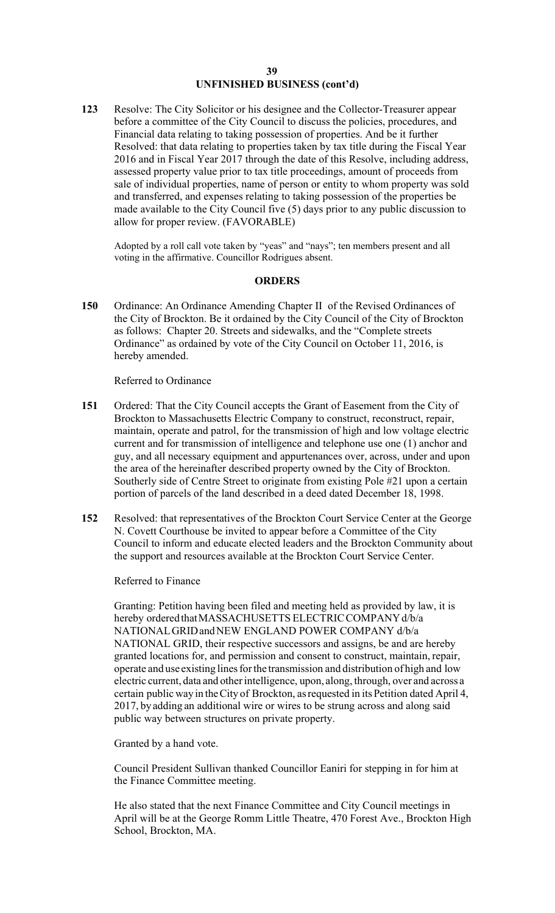#### **39 UNFINISHED BUSINESS (cont'd)**

assessed property value prior to tax title proceedings, amount of proceeds from **123** Resolve: The City Solicitor or his designee and the Collector-Treasurer appear before a committee of the City Council to discuss the policies, procedures, and Financial data relating to taking possession of properties. And be it further Resolved: that data relating to properties taken by tax title during the Fiscal Year 2016 and in Fiscal Year 2017 through the date of this Resolve, including address, sale of individual properties, name of person or entity to whom property was sold and transferred, and expenses relating to taking possession of the properties be made available to the City Council five (5) days prior to any public discussion to allow for proper review. (FAVORABLE)

Adopted by a roll call vote taken by "yeas" and "nays"; ten members present and all voting in the affirmative. Councillor Rodrigues absent.

### **ORDERS**

**150** Ordinance: An Ordinance Amending Chapter II of the Revised Ordinances of the City of Brockton. Be it ordained by the City Council of the City of Brockton as follows: Chapter 20. Streets and sidewalks, and the "Complete streets Ordinance" as ordained by vote of the City Council on October 11, 2016, is hereby amended.

### Referred to Ordinance

- **151** Ordered: That the City Council accepts the Grant of Easement from the City of Brockton to Massachusetts Electric Company to construct, reconstruct, repair, maintain, operate and patrol, for the transmission of high and low voltage electric current and for transmission of intelligence and telephone use one (1) anchor and guy, and all necessary equipment and appurtenances over, across, under and upon the area of the hereinafter described property owned by the City of Brockton. Southerly side of Centre Street to originate from existing Pole #21 upon a certain portion of parcels of the land described in a deed dated December 18, 1998.
- **152** Resolved: that representatives of the Brockton Court Service Center at the George N. Covett Courthouse be invited to appear before a Committee of the City Council to inform and educate elected leaders and the Brockton Community about the support and resources available at the Brockton Court Service Center.

Referred to Finance

Granting: Petition having been filed and meeting held as provided by law, it is hereby ordered that MASSACHUSETTS ELECTRIC COMPANY d/b/a NATIONAL GRID and NEW ENGLAND POWER COMPANY d/b/a NATIONAL GRID, their respective successors and assigns, be and are hereby granted locations for, and permission and consent to construct, maintain, repair, operate and use existing lines for the transmission and distribution of high and low electric current, data and other intelligence, upon, along, through, over and across a certain public way in the City of Brockton, as requested in its Petition dated April 4, 2017, by adding an additional wire or wires to be strung across and along said public way between structures on private property.

Granted by a hand vote.

Council President Sullivan thanked Councillor Eaniri for stepping in for him at the Finance Committee meeting.

He also stated that the next Finance Committee and City Council meetings in April will be at the George Romm Little Theatre, 470 Forest Ave., Brockton High School, Brockton, MA.